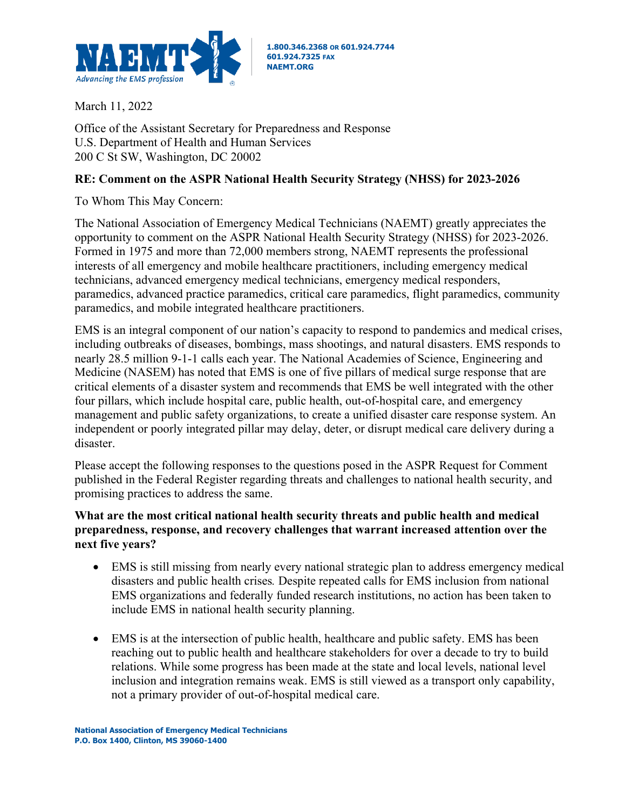

March 11, 2022

Office of the Assistant Secretary for Preparedness and Response U.S. Department of Health and Human Services 200 C St SW, Washington, DC 20002

## **RE: Comment on the ASPR National Health Security Strategy (NHSS) for 2023-2026**

To Whom This May Concern:

The National Association of Emergency Medical Technicians (NAEMT) greatly appreciates the opportunity to comment on the ASPR National Health Security Strategy (NHSS) for 2023-2026. Formed in 1975 and more than 72,000 members strong, NAEMT represents the professional interests of all emergency and mobile healthcare practitioners, including emergency medical technicians, advanced emergency medical technicians, emergency medical responders, paramedics, advanced practice paramedics, critical care paramedics, flight paramedics, community paramedics, and mobile integrated healthcare practitioners.

EMS is an integral component of our nation's capacity to respond to pandemics and medical crises, including outbreaks of diseases, bombings, mass shootings, and natural disasters. EMS responds to nearly 28.5 million 9-1-1 calls each year. The National Academies of Science, Engineering and Medicine (NASEM) has noted that EMS is one of five pillars of medical surge response that are critical elements of a disaster system and recommends that EMS be well integrated with the other four pillars, which include hospital care, public health, out-of-hospital care, and emergency management and public safety organizations, to create a unified disaster care response system. An independent or poorly integrated pillar may delay, deter, or disrupt medical care delivery during a disaster.

Please accept the following responses to the questions posed in the ASPR Request for Comment published in the Federal Register regarding threats and challenges to national health security, and promising practices to address the same.

## **What are the most critical national health security threats and public health and medical preparedness, response, and recovery challenges that warrant increased attention over the next five years?**

- EMS is still missing from nearly every national strategic plan to address emergency medical disasters and public health crises*.* Despite repeated calls for EMS inclusion from national EMS organizations and federally funded research institutions, no action has been taken to include EMS in national health security planning.
- EMS is at the intersection of public health, healthcare and public safety. EMS has been reaching out to public health and healthcare stakeholders for over a decade to try to build relations. While some progress has been made at the state and local levels, national level inclusion and integration remains weak. EMS is still viewed as a transport only capability, not a primary provider of out-of-hospital medical care.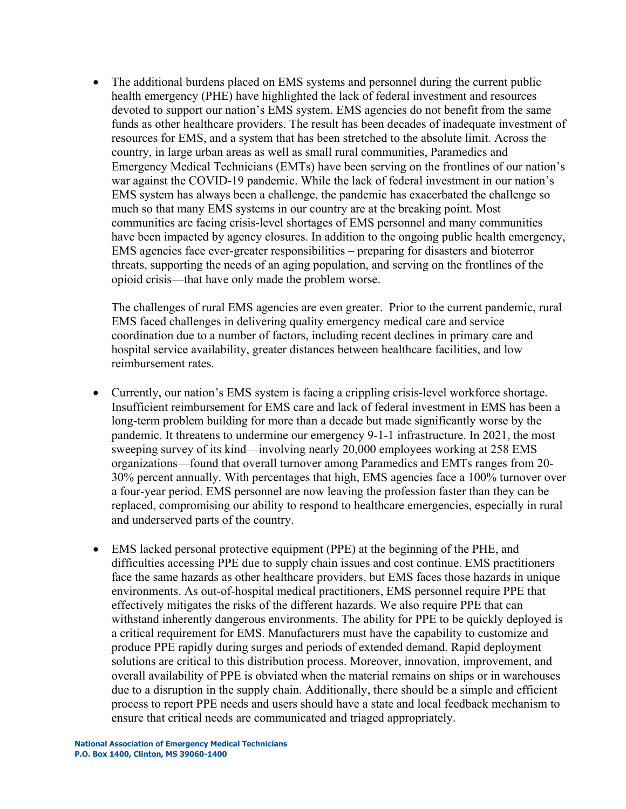• The additional burdens placed on EMS systems and personnel during the current public health emergency (PHE) have highlighted the lack of federal investment and resources devoted to support our nation's EMS system. EMS agencies do not benefit from the same funds as other healthcare providers. The result has been decades of inadequate investment of resources for EMS, and a system that has been stretched to the absolute limit. Across the country, in large urban areas as well as small rural communities, Paramedics and Emergency Medical Technicians (EMTs) have been serving on the frontlines of our nation's war against the COVID-19 pandemic. While the lack of federal investment in our nation's EMS system has always been a challenge, the pandemic has exacerbated the challenge so much so that many EMS systems in our country are at the breaking point. Most communities are facing crisis-level shortages of EMS personnel and many communities have been impacted by agency closures. In addition to the ongoing public health emergency, EMS agencies face ever-greater responsibilities – preparing for disasters and bioterror threats, supporting the needs of an aging population, and serving on the frontlines of the opioid crisis—that have only made the problem worse.

The challenges of rural EMS agencies are even greater. Prior to the current pandemic, rural EMS faced challenges in delivering quality emergency medical care and service coordination due to a number of factors, including recent declines in primary care and hospital service availability, greater distances between healthcare facilities, and low reimbursement rates.

- Currently, our nation's EMS system is facing a crippling crisis-level workforce shortage. Insufficient reimbursement for EMS care and lack of federal investment in EMS has been a long-term problem building for more than a decade but made significantly worse by the pandemic. It threatens to undermine our emergency 9-1-1 infrastructure. In 2021, the most sweeping survey of its kind—involving nearly 20,000 employees working at 258 EMS organizations—found that overall turnover among Paramedics and EMTs ranges from 20- 30% percent annually. With percentages that high, EMS agencies face a 100% turnover over a four-year period. EMS personnel are now leaving the profession faster than they can be replaced, compromising our ability to respond to healthcare emergencies, especially in rural and underserved parts of the country.
- EMS lacked personal protective equipment (PPE) at the beginning of the PHE, and difficulties accessing PPE due to supply chain issues and cost continue. EMS practitioners face the same hazards as other healthcare providers, but EMS faces those hazards in unique environments. As out-of-hospital medical practitioners, EMS personnel require PPE that effectively mitigates the risks of the different hazards. We also require PPE that can withstand inherently dangerous environments. The ability for PPE to be quickly deployed is a critical requirement for EMS. Manufacturers must have the capability to customize and produce PPE rapidly during surges and periods of extended demand. Rapid deployment solutions are critical to this distribution process. Moreover, innovation, improvement, and overall availability of PPE is obviated when the material remains on ships or in warehouses due to a disruption in the supply chain. Additionally, there should be a simple and efficient process to report PPE needs and users should have a state and local feedback mechanism to ensure that critical needs are communicated and triaged appropriately.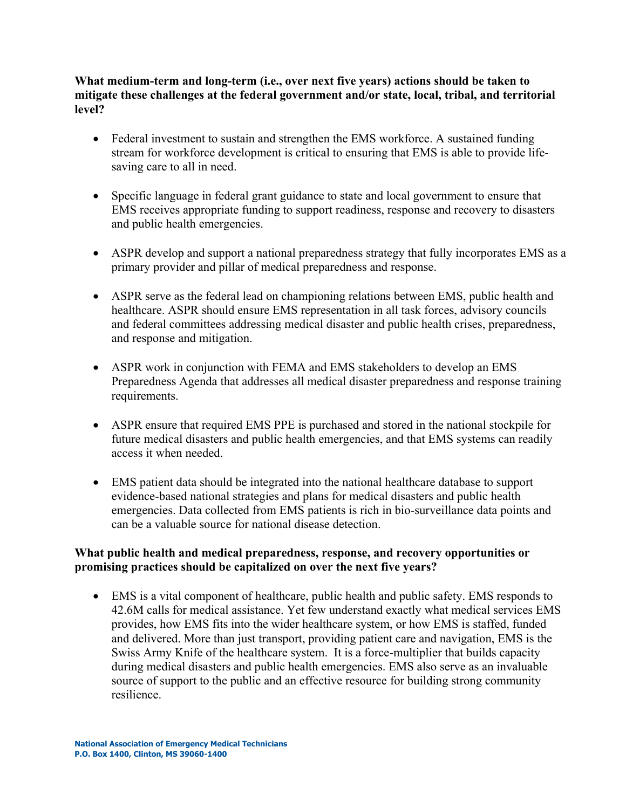**What medium-term and long-term (i.e., over next five years) actions should be taken to mitigate these challenges at the federal government and/or state, local, tribal, and territorial level?**

- Federal investment to sustain and strengthen the EMS workforce. A sustained funding stream for workforce development is critical to ensuring that EMS is able to provide lifesaving care to all in need.
- Specific language in federal grant guidance to state and local government to ensure that EMS receives appropriate funding to support readiness, response and recovery to disasters and public health emergencies.
- ASPR develop and support a national preparedness strategy that fully incorporates EMS as a primary provider and pillar of medical preparedness and response.
- ASPR serve as the federal lead on championing relations between EMS, public health and healthcare. ASPR should ensure EMS representation in all task forces, advisory councils and federal committees addressing medical disaster and public health crises, preparedness, and response and mitigation.
- ASPR work in conjunction with FEMA and EMS stakeholders to develop an EMS Preparedness Agenda that addresses all medical disaster preparedness and response training requirements.
- ASPR ensure that required EMS PPE is purchased and stored in the national stockpile for future medical disasters and public health emergencies, and that EMS systems can readily access it when needed.
- EMS patient data should be integrated into the national healthcare database to support evidence-based national strategies and plans for medical disasters and public health emergencies. Data collected from EMS patients is rich in bio-surveillance data points and can be a valuable source for national disease detection.

## **What public health and medical preparedness, response, and recovery opportunities or promising practices should be capitalized on over the next five years?**

• EMS is a vital component of healthcare, public health and public safety. EMS responds to 42.6M calls for medical assistance. Yet few understand exactly what medical services EMS provides, how EMS fits into the wider healthcare system, or how EMS is staffed, funded and delivered. More than just transport, providing patient care and navigation, EMS is the Swiss Army Knife of the healthcare system. It is a force-multiplier that builds capacity during medical disasters and public health emergencies. EMS also serve as an invaluable source of support to the public and an effective resource for building strong community resilience.